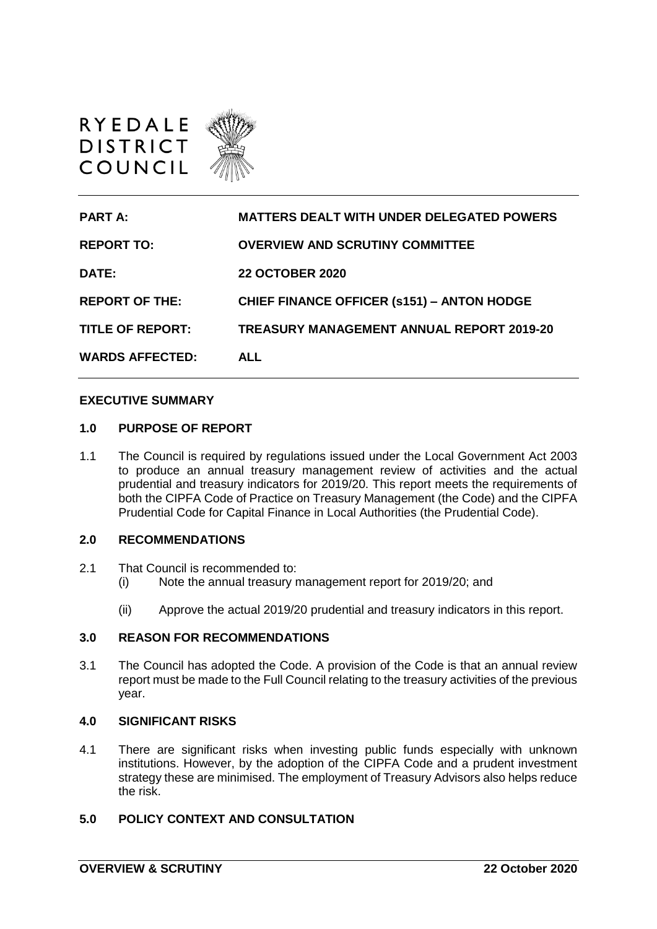

| <b>PART A:</b>         | <b>MATTERS DEALT WITH UNDER DELEGATED POWERS</b>  |
|------------------------|---------------------------------------------------|
| <b>REPORT TO:</b>      | <b>OVERVIEW AND SCRUTINY COMMITTEE</b>            |
| DATE:                  | <b>22 OCTOBER 2020</b>                            |
| <b>REPORT OF THE:</b>  | <b>CHIEF FINANCE OFFICER (s151) - ANTON HODGE</b> |
| TITLE OF REPORT:       | TREASURY MANAGEMENT ANNUAL REPORT 2019-20         |
| <b>WARDS AFFECTED:</b> | <b>ALL</b>                                        |

#### **EXECUTIVE SUMMARY**

#### **1.0 PURPOSE OF REPORT**

1.1 The Council is required by regulations issued under the Local Government Act 2003 to produce an annual treasury management review of activities and the actual prudential and treasury indicators for 2019/20. This report meets the requirements of both the CIPFA Code of Practice on Treasury Management (the Code) and the CIPFA Prudential Code for Capital Finance in Local Authorities (the Prudential Code).

#### **2.0 RECOMMENDATIONS**

- 2.1 That Council is recommended to:
	- (i) Note the annual treasury management report for 2019/20; and
	- (ii) Approve the actual 2019/20 prudential and treasury indicators in this report.

#### **3.0 REASON FOR RECOMMENDATIONS**

3.1 The Council has adopted the Code. A provision of the Code is that an annual review report must be made to the Full Council relating to the treasury activities of the previous year.

#### **4.0 SIGNIFICANT RISKS**

4.1 There are significant risks when investing public funds especially with unknown institutions. However, by the adoption of the CIPFA Code and a prudent investment strategy these are minimised. The employment of Treasury Advisors also helps reduce the risk.

### **5.0 POLICY CONTEXT AND CONSULTATION**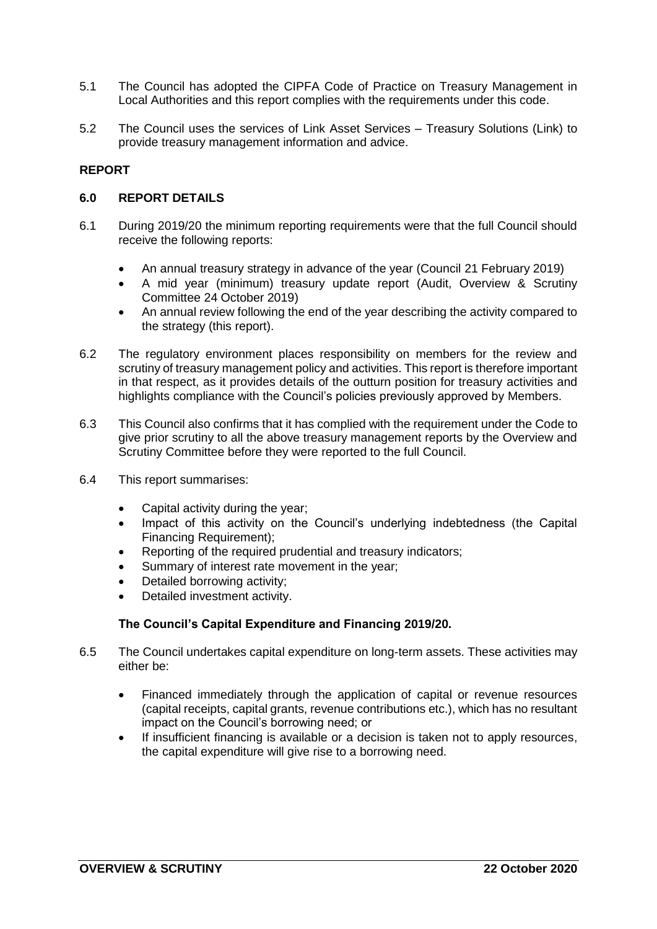- 5.1 The Council has adopted the CIPFA Code of Practice on Treasury Management in Local Authorities and this report complies with the requirements under this code.
- 5.2 The Council uses the services of Link Asset Services Treasury Solutions (Link) to provide treasury management information and advice.

### **REPORT**

#### **6.0 REPORT DETAILS**

- 6.1 During 2019/20 the minimum reporting requirements were that the full Council should receive the following reports:
	- An annual treasury strategy in advance of the year (Council 21 February 2019)
	- A mid year (minimum) treasury update report (Audit, Overview & Scrutiny Committee 24 October 2019)
	- An annual review following the end of the year describing the activity compared to the strategy (this report).
- 6.2 The regulatory environment places responsibility on members for the review and scrutiny of treasury management policy and activities. This report is therefore important in that respect, as it provides details of the outturn position for treasury activities and highlights compliance with the Council's policies previously approved by Members.
- 6.3 This Council also confirms that it has complied with the requirement under the Code to give prior scrutiny to all the above treasury management reports by the Overview and Scrutiny Committee before they were reported to the full Council.
- 6.4 This report summarises:
	- Capital activity during the year;
	- Impact of this activity on the Council's underlying indebtedness (the Capital Financing Requirement);
	- Reporting of the required prudential and treasury indicators;
	- Summary of interest rate movement in the year;
	- Detailed borrowing activity;
	- Detailed investment activity.

#### **The Council's Capital Expenditure and Financing 2019/20.**

- 6.5 The Council undertakes capital expenditure on long-term assets. These activities may either be:
	- Financed immediately through the application of capital or revenue resources (capital receipts, capital grants, revenue contributions etc.), which has no resultant impact on the Council's borrowing need; or
	- If insufficient financing is available or a decision is taken not to apply resources, the capital expenditure will give rise to a borrowing need.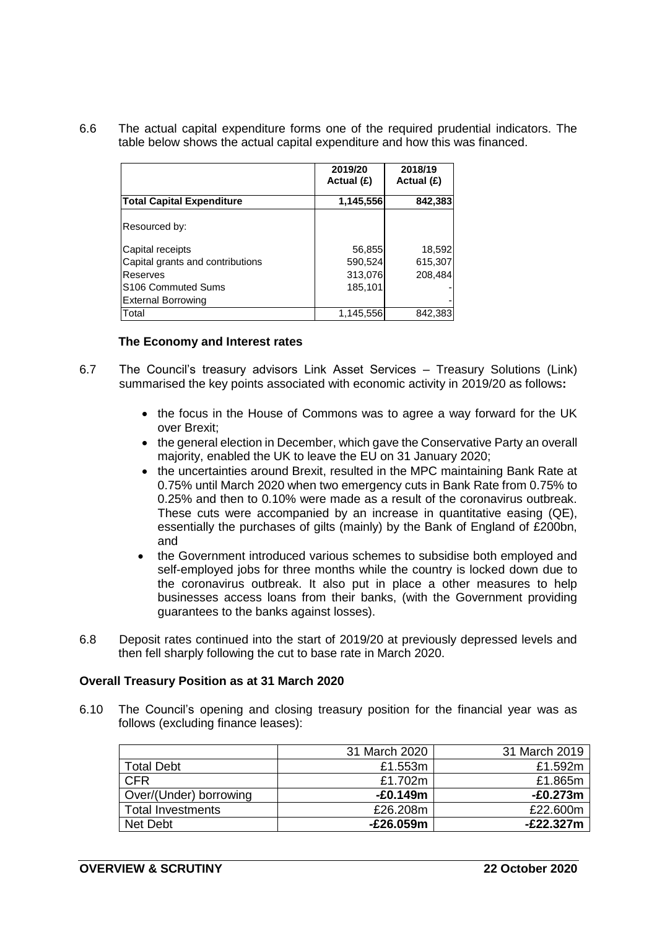6.6 The actual capital expenditure forms one of the required prudential indicators. The table below shows the actual capital expenditure and how this was financed.

|                                  | 2019/20<br>Actual (£) | 2018/19<br>Actual (£) |
|----------------------------------|-----------------------|-----------------------|
| <b>Total Capital Expenditure</b> | 1,145,556             | 842,383               |
|                                  |                       |                       |
| Resourced by:                    |                       |                       |
| Capital receipts                 | 56,855                | 18,592                |
| Capital grants and contributions | 590,524               | 615,307               |
| Reserves                         | 313,076               | 208,484               |
| S <sub>106</sub> Commuted Sums   | 185,101               |                       |
| <b>External Borrowing</b>        |                       |                       |
| Total                            | 1,145,556             | 842.383               |

#### **The Economy and Interest rates**

- 6.7 The Council's treasury advisors Link Asset Services Treasury Solutions (Link) summarised the key points associated with economic activity in 2019/20 as follows**:**
	- the focus in the House of Commons was to agree a way forward for the UK over Brexit;
	- the general election in December, which gave the Conservative Party an overall majority, enabled the UK to leave the EU on 31 January 2020;
	- the uncertainties around Brexit, resulted in the MPC maintaining Bank Rate at 0.75% until March 2020 when two emergency cuts in Bank Rate from 0.75% to 0.25% and then to 0.10% were made as a result of the coronavirus outbreak. These cuts were accompanied by an increase in quantitative easing (QE), essentially the purchases of gilts (mainly) by the Bank of England of £200bn, and
	- the Government introduced various schemes to subsidise both employed and self-employed jobs for three months while the country is locked down due to the coronavirus outbreak. It also put in place a other measures to help businesses access loans from their banks, (with the Government providing guarantees to the banks against losses).
- 6.8 Deposit rates continued into the start of 2019/20 at previously depressed levels and then fell sharply following the cut to base rate in March 2020.

#### **Overall Treasury Position as at 31 March 2020**

6.10 The Council's opening and closing treasury position for the financial year was as follows (excluding finance leases):

|                          | 31 March 2020 | 31 March 2019 |
|--------------------------|---------------|---------------|
| <b>Total Debt</b>        | £1.553m       | £1.592m       |
| <b>CFR</b>               | £1.702m       | £1.865m       |
| Over/(Under) borrowing   | $-£0.149m$    | -£0.273m      |
| <b>Total Investments</b> | £26,208m      | £22.600m      |
| Net Debt                 | -£26.059m     | $-E22.327m$   |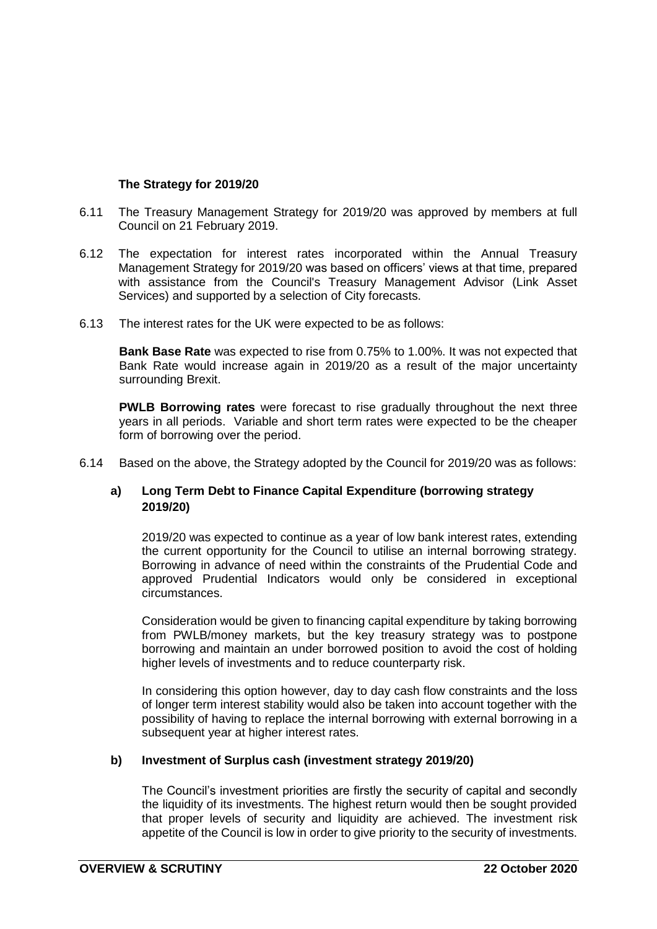### **The Strategy for 2019/20**

- 6.11 The Treasury Management Strategy for 2019/20 was approved by members at full Council on 21 February 2019.
- 6.12 The expectation for interest rates incorporated within the Annual Treasury Management Strategy for 2019/20 was based on officers' views at that time, prepared with assistance from the Council's Treasury Management Advisor (Link Asset Services) and supported by a selection of City forecasts.
- 6.13 The interest rates for the UK were expected to be as follows:

**Bank Base Rate** was expected to rise from 0.75% to 1.00%. It was not expected that Bank Rate would increase again in 2019/20 as a result of the major uncertainty surrounding Brexit.

**PWLB Borrowing rates** were forecast to rise gradually throughout the next three years in all periods. Variable and short term rates were expected to be the cheaper form of borrowing over the period.

6.14 Based on the above, the Strategy adopted by the Council for 2019/20 was as follows:

### **a) Long Term Debt to Finance Capital Expenditure (borrowing strategy 2019/20)**

2019/20 was expected to continue as a year of low bank interest rates, extending the current opportunity for the Council to utilise an internal borrowing strategy. Borrowing in advance of need within the constraints of the Prudential Code and approved Prudential Indicators would only be considered in exceptional circumstances.

Consideration would be given to financing capital expenditure by taking borrowing from PWLB/money markets, but the key treasury strategy was to postpone borrowing and maintain an under borrowed position to avoid the cost of holding higher levels of investments and to reduce counterparty risk.

In considering this option however, day to day cash flow constraints and the loss of longer term interest stability would also be taken into account together with the possibility of having to replace the internal borrowing with external borrowing in a subsequent year at higher interest rates.

#### **b) Investment of Surplus cash (investment strategy 2019/20)**

The Council's investment priorities are firstly the security of capital and secondly the liquidity of its investments. The highest return would then be sought provided that proper levels of security and liquidity are achieved. The investment risk appetite of the Council is low in order to give priority to the security of investments.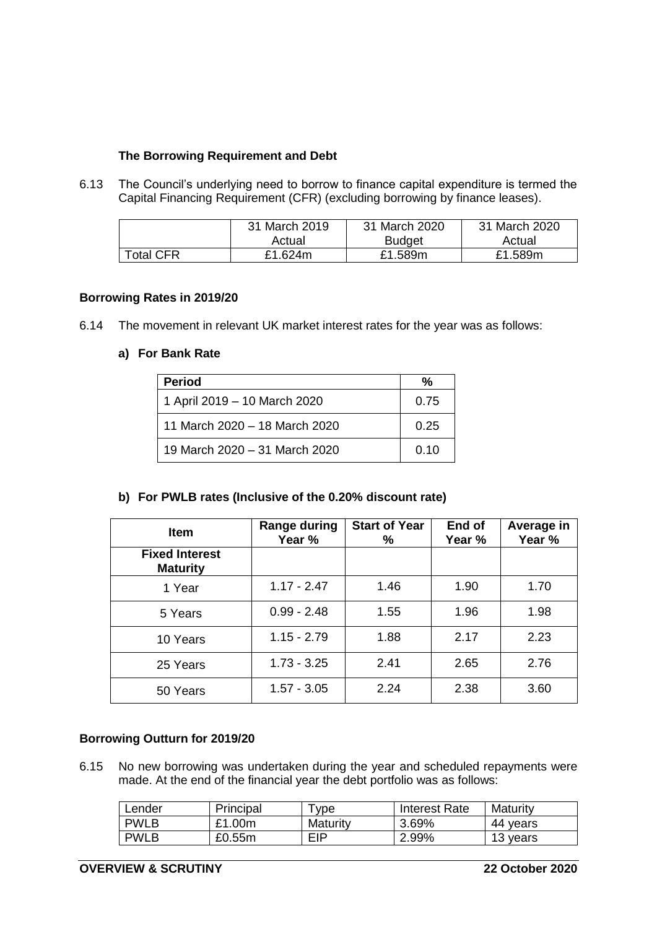### **The Borrowing Requirement and Debt**

6.13 The Council's underlying need to borrow to finance capital expenditure is termed the Capital Financing Requirement (CFR) (excluding borrowing by finance leases).

|                  | 31 March 2019 | 31 March 2020 | 31 March 2020 |
|------------------|---------------|---------------|---------------|
|                  | Actual        | <b>Budget</b> | Actual        |
| <b>Total CFR</b> | £1.624m       | £1.589m       | £1.589m       |

### **Borrowing Rates in 2019/20**

6.14 The movement in relevant UK market interest rates for the year was as follows:

### **a) For Bank Rate**

| <b>Period</b>                 | %    |
|-------------------------------|------|
| 1 April 2019 – 10 March 2020  | 0.75 |
| 11 March 2020 - 18 March 2020 | 0.25 |
| 19 March 2020 – 31 March 2020 | 0.10 |

## **b) For PWLB rates (Inclusive of the 0.20% discount rate)**

| <b>Item</b>                              | Range during  | <b>Start of Year</b> | End of | Average in |
|------------------------------------------|---------------|----------------------|--------|------------|
| <b>Fixed Interest</b><br><b>Maturity</b> | Year %        | %                    | Year % | Year %     |
| 1 Year                                   | $1.17 - 2.47$ | 1.46                 | 1.90   | 1.70       |
| 5 Years                                  | $0.99 - 2.48$ | 1.55                 | 1.96   | 1.98       |
| 10 Years                                 | $1.15 - 2.79$ | 1.88                 | 2.17   | 2.23       |
| 25 Years                                 | $1.73 - 3.25$ | 2.41                 | 2.65   | 2.76       |
| 50 Years                                 | $1.57 - 3.05$ | 2.24                 | 2.38   | 3.60       |

#### **Borrowing Outturn for 2019/20**

6.15 No new borrowing was undertaken during the year and scheduled repayments were made. At the end of the financial year the debt portfolio was as follows:

| ∟ender      | Principal | <b>vpe</b> | Interest Rate | Maturity |
|-------------|-----------|------------|---------------|----------|
| <b>PWLB</b> | £1.00m    | Maturity   | 3.69%         | 44 vears |
| <b>PWLB</b> | £0.55m    | EIP        | 2.99%         | 13 years |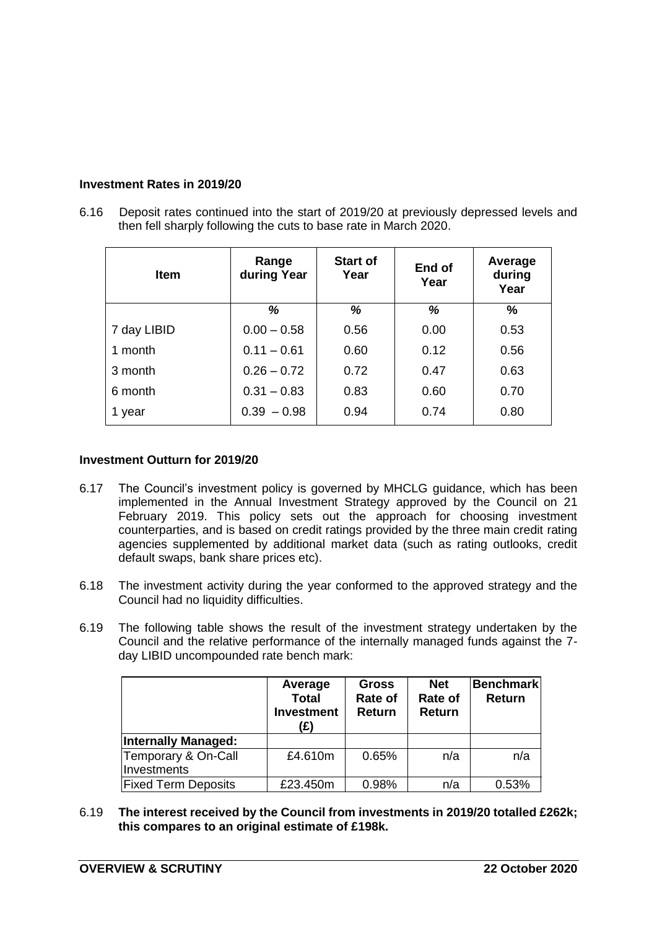## **Investment Rates in 2019/20**

6.16 Deposit rates continued into the start of 2019/20 at previously depressed levels and then fell sharply following the cuts to base rate in March 2020.

| <b>Item</b> | Range<br>during Year | <b>Start of</b><br>Year | End of<br>Year | Average<br>during<br>Year |
|-------------|----------------------|-------------------------|----------------|---------------------------|
|             | %                    | %                       | %              | %                         |
| 7 day LIBID | $0.00 - 0.58$        | 0.56                    | 0.00           | 0.53                      |
| 1 month     | $0.11 - 0.61$        | 0.60                    | 0.12           | 0.56                      |
| 3 month     | $0.26 - 0.72$        | 0.72                    | 0.47           | 0.63                      |
| 6 month     | $0.31 - 0.83$        | 0.83                    | 0.60           | 0.70                      |
| 1 year      | $0.39 - 0.98$        | 0.94                    | 0.74           | 0.80                      |

### **Investment Outturn for 2019/20**

- 6.17 The Council's investment policy is governed by MHCLG guidance, which has been implemented in the Annual Investment Strategy approved by the Council on 21 February 2019. This policy sets out the approach for choosing investment counterparties, and is based on credit ratings provided by the three main credit rating agencies supplemented by additional market data (such as rating outlooks, credit default swaps, bank share prices etc).
- 6.18 The investment activity during the year conformed to the approved strategy and the Council had no liquidity difficulties.
- 6.19 The following table shows the result of the investment strategy undertaken by the Council and the relative performance of the internally managed funds against the 7 day LIBID uncompounded rate bench mark:

|                                    | Average<br><b>Total</b><br><b>Investment</b><br>(£) | <b>Gross</b><br>Rate of<br><b>Return</b> | <b>Net</b><br>Rate of<br><b>Return</b> | <b>Benchmark</b><br><b>Return</b> |
|------------------------------------|-----------------------------------------------------|------------------------------------------|----------------------------------------|-----------------------------------|
| <b>Internally Managed:</b>         |                                                     |                                          |                                        |                                   |
| Temporary & On-Call<br>Investments | £4.610m                                             | 0.65%                                    | n/a                                    | n/a                               |
| <b>Fixed Term Deposits</b>         | £23.450m                                            | 0.98%                                    | n/a                                    | 0.53%                             |

6.19 **The interest received by the Council from investments in 2019/20 totalled £262k; this compares to an original estimate of £198k.**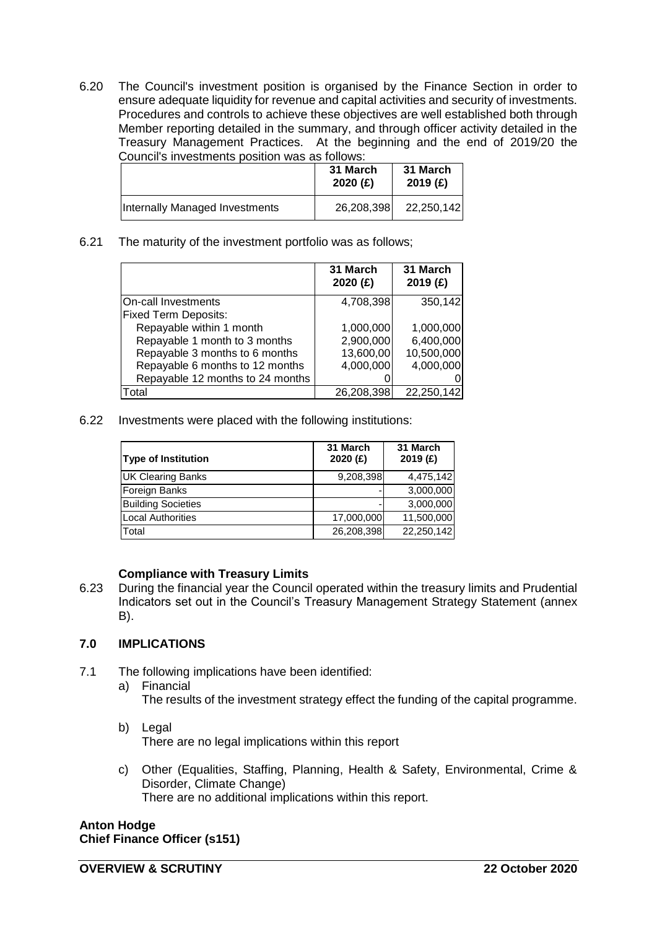6.20 The Council's investment position is organised by the Finance Section in order to ensure adequate liquidity for revenue and capital activities and security of investments. Procedures and controls to achieve these objectives are well established both through Member reporting detailed in the summary, and through officer activity detailed in the Treasury Management Practices. At the beginning and the end of 2019/20 the Council's investments position was as follows:

|                                | 31 March<br>2020(f) | 31 March<br>2019(f) |
|--------------------------------|---------------------|---------------------|
| Internally Managed Investments | 26,208,398          | 22,250,142          |

6.21 The maturity of the investment portfolio was as follows;

|                                  | 31 March<br>2020 (£) | 31 March<br>2019(f) |
|----------------------------------|----------------------|---------------------|
| On-call Investments              | 4,708,398            | 350,142             |
| <b>Fixed Term Deposits:</b>      |                      |                     |
| Repayable within 1 month         | 1,000,000            | 1,000,000           |
| Repayable 1 month to 3 months    | 2,900,000            | 6,400,000           |
| Repayable 3 months to 6 months   | 13,600,00            | 10,500,000          |
| Repayable 6 months to 12 months  | 4,000,000            | 4,000,000           |
| Repayable 12 months to 24 months |                      |                     |
| Total                            | 26,208,398           | 22,250,142          |

6.22 Investments were placed with the following institutions:

| Type of Institution       | 31 March<br>2020(f) | 31 March<br>2019 (£) |
|---------------------------|---------------------|----------------------|
| <b>UK Clearing Banks</b>  | 9,208,398           | 4,475,142            |
| Foreign Banks             |                     | 3,000,000            |
| <b>Building Societies</b> |                     | 3,000,000            |
| Local Authorities         | 17,000,000          | 11,500,000           |
| Total                     | 26,208,398          | 22,250,142           |

## **Compliance with Treasury Limits**

6.23 During the financial year the Council operated within the treasury limits and Prudential Indicators set out in the Council's Treasury Management Strategy Statement (annex B).

## **7.0 IMPLICATIONS**

- 7.1 The following implications have been identified:
	- a) Financial The results of the investment strategy effect the funding of the capital programme.
	- b) Legal There are no legal implications within this report
	- c) Other (Equalities, Staffing, Planning, Health & Safety, Environmental, Crime & Disorder, Climate Change) There are no additional implications within this report.

**Anton Hodge Chief Finance Officer (s151)**